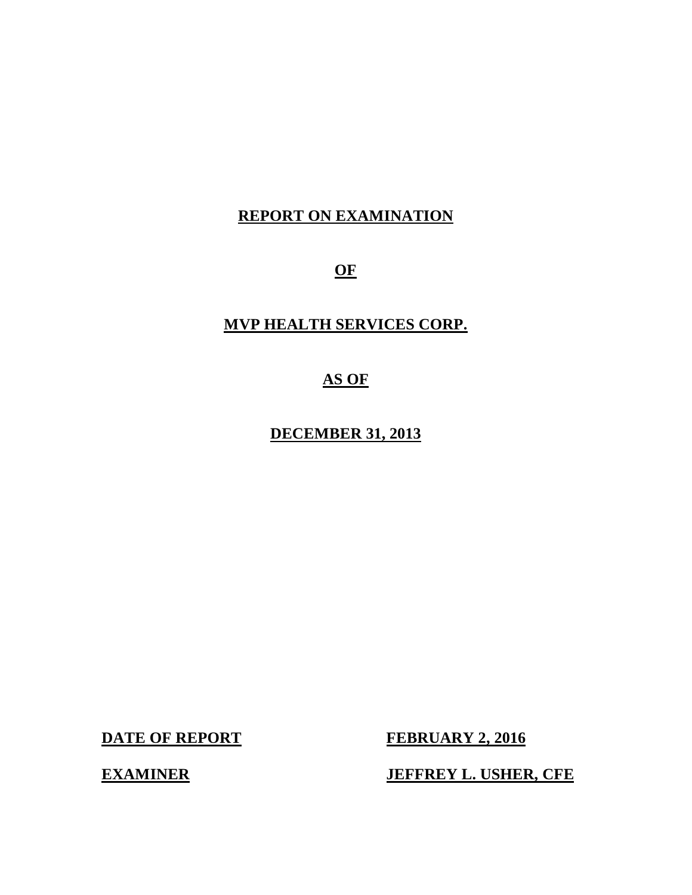# **REPORT ON EXAMINATION**

**OF** 

# **MVP HEALTH SERVICES CORP.**

# **AS OF**

 **DECEMBER 31, 2013** 

**DATE OF REPORT** 

**FEBRUARY 2, 2016** 

**EXAMINER** 

**JEFFREY L. USHER, CFE**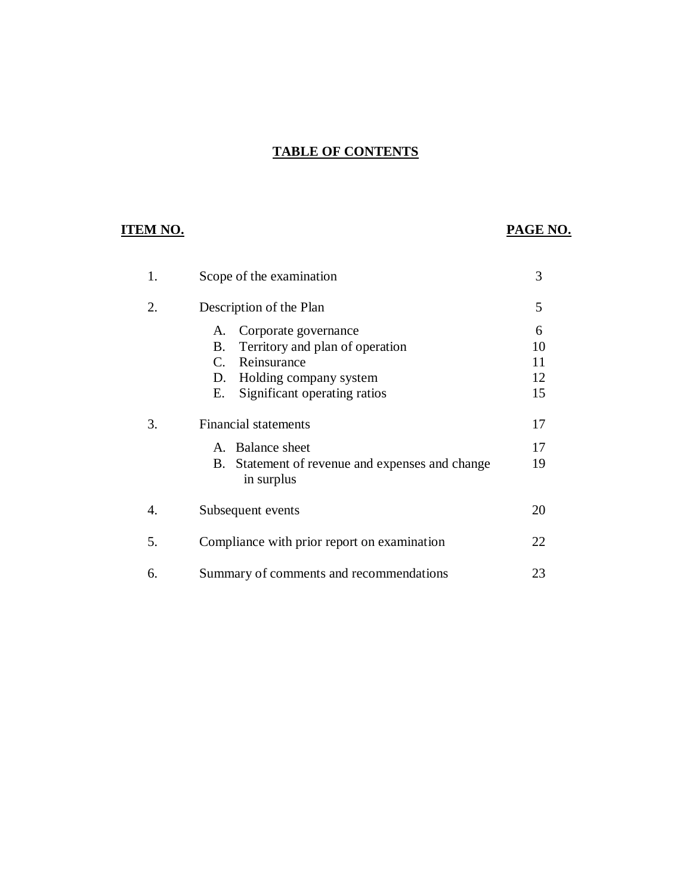# **TABLE OF CONTENTS**

# **ITEM NO.**

# **PAGE NO.**

| 1. | Scope of the examination                                                                                                                                                | 3                         |
|----|-------------------------------------------------------------------------------------------------------------------------------------------------------------------------|---------------------------|
| 2. | Description of the Plan                                                                                                                                                 | 5                         |
|    | Corporate governance<br>A.<br>Territory and plan of operation<br>В.<br>Reinsurance<br>$C_{\cdot}$<br>Holding company system<br>D.<br>Significant operating ratios<br>Е. | 6<br>10<br>11<br>12<br>15 |
| 3. | <b>Financial statements</b>                                                                                                                                             | 17                        |
|    | A. Balance sheet<br>Statement of revenue and expenses and change<br>В.<br>in surplus                                                                                    | 17<br>19                  |
| 4. | Subsequent events                                                                                                                                                       | 20                        |
| 5. | Compliance with prior report on examination                                                                                                                             | 22                        |
| 6. | Summary of comments and recommendations                                                                                                                                 | 23                        |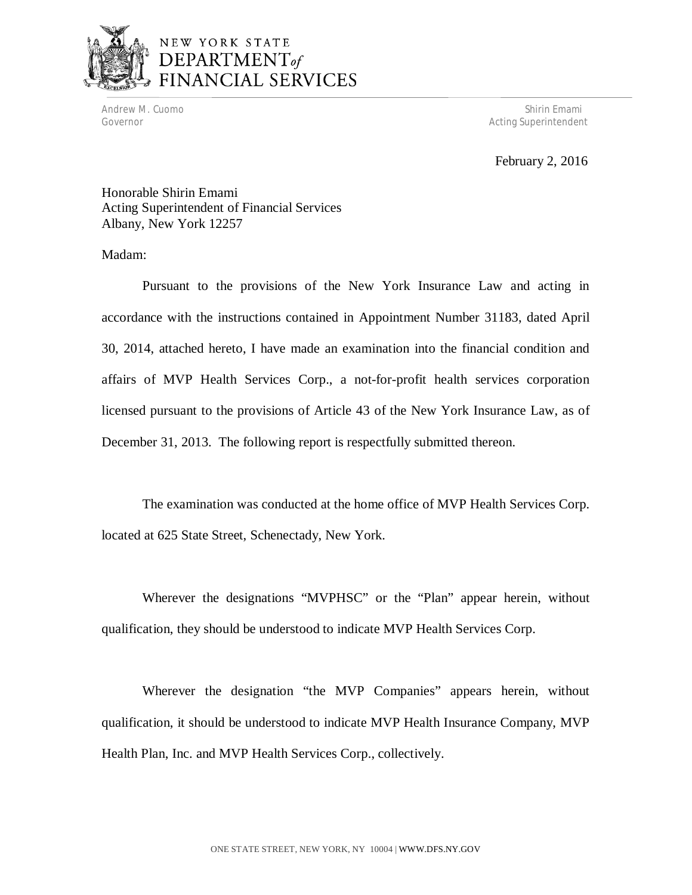

# NEW YORK STATE DEPARTMENT<sub>of</sub> FINANCIAL SERVICES

Governor

Andrew M. Cuomo Shirin Emami (1999) and the state of the state of the Shirin Emami (1999) and the Shirin Emami Acting Superintendent

February 2, 2016

 Honorable Shirin Emami Acting Superintendent of Financial Services Albany, New York 12257

Madam:

 Pursuant to the provisions of the New York Insurance Law and acting in accordance with the instructions contained in Appointment Number 31183, dated April 30, 2014, attached hereto, I have made an examination into the financial condition and affairs of MVP Health Services Corp., a not-for-profit health services corporation licensed pursuant to the provisions of Article 43 of the New York Insurance Law, as of December 31, 2013. The following report is respectfully submitted thereon.

 The examination was conducted at the home office of MVP Health Services Corp. located at 625 State Street, Schenectady, New York.

 Wherever the designations "MVPHSC" or the "Plan" appear herein, without qualification, they should be understood to indicate MVP Health Services Corp.

 Wherever the designation "the MVP Companies" appears herein, without qualification, it should be understood to indicate MVP Health Insurance Company, MVP Health Plan, Inc. and MVP Health Services Corp., collectively.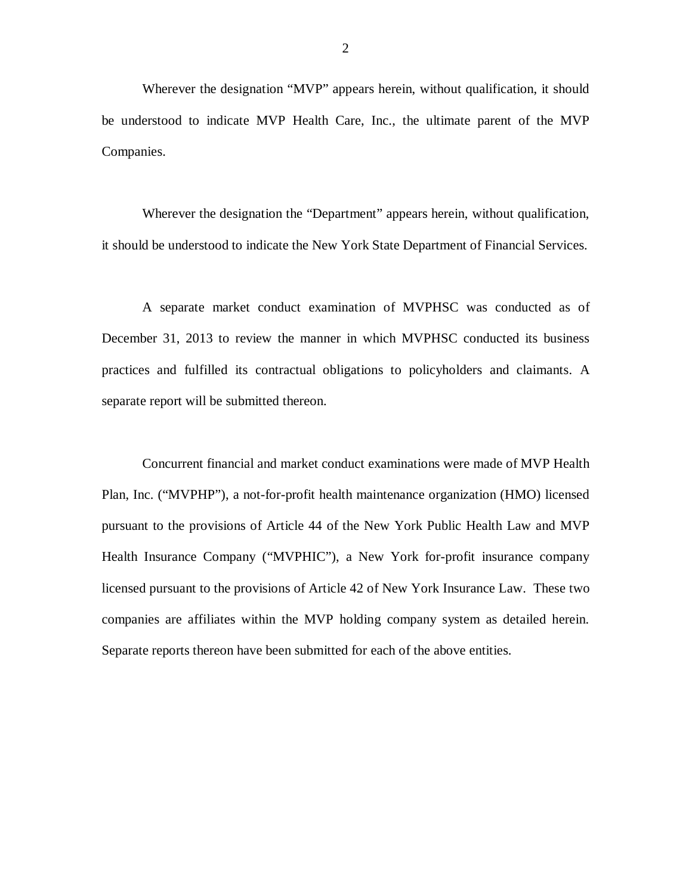Wherever the designation "MVP" appears herein, without qualification, it should be understood to indicate MVP Health Care, Inc., the ultimate parent of the MVP Companies. Companies. Wherever the designation the "Department" appears herein, without qualification,

it should be understood to indicate the New York State Department of Financial Services.

 A separate market conduct examination of MVPHSC was conducted as of December 31, 2013 to review the manner in which MVPHSC conducted its business practices and fulfilled its contractual obligations to policyholders and claimants. A separate report will be submitted thereon.

 Concurrent financial and market conduct examinations were made of MVP Health Plan, Inc. ("MVPHP"), a not-for-profit health maintenance organization (HMO) licensed pursuant to the provisions of Article 44 of the New York Public Health Law and MVP Health Insurance Company ("MVPHIC"), a New York for-profit insurance company licensed pursuant to the provisions of Article 42 of New York Insurance Law. These two companies are affiliates within the MVP holding company system as detailed herein. Separate reports thereon have been submitted for each of the above entities.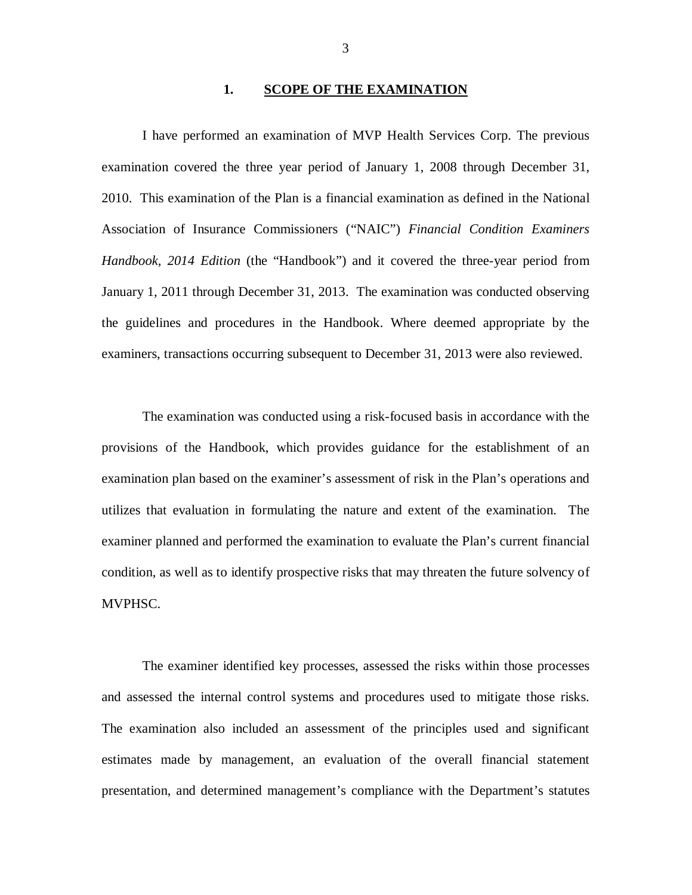#### **1. SCOPE OF THE EXAMINATION**

<span id="page-5-0"></span> I have performed an examination of MVP Health Services Corp. The previous examination covered the three year period of January 1, 2008 through December 31, 2010. This examination of the Plan is a financial examination as defined in the National Association of Insurance Commissioners ("NAIC") *Financial Condition Examiners*  Handbook, 2014 Edition (the "Handbook") and it covered the three-year period from January 1, 2011 through December 31, 2013. The examination was conducted observing the guidelines and procedures in the Handbook. Where deemed appropriate by the examiners, transactions occurring subsequent to December 31, 2013 were also reviewed.

 The examination was conducted using a risk-focused basis in accordance with the provisions of the Handbook, which provides guidance for the establishment of an examination plan based on the examiner's assessment of risk in the Plan's operations and utilizes that evaluation in formulating the nature and extent of the examination. The examiner planned and performed the examination to evaluate the Plan's current financial condition, as well as to identify prospective risks that may threaten the future solvency of MVPHSC.

 The examiner identified key processes, assessed the risks within those processes and assessed the internal control systems and procedures used to mitigate those risks. The examination also included an assessment of the principles used and significant estimates made by management, an evaluation of the overall financial statement presentation, and determined management's compliance with the Department's statutes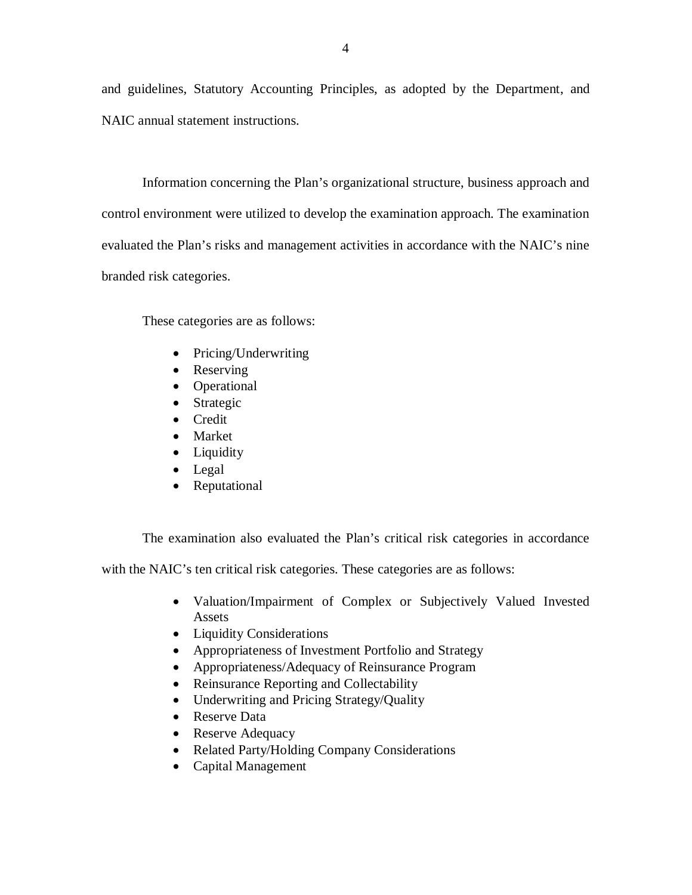and guidelines, Statutory Accounting Principles, as adopted by the Department, and NAIC annual statement instructions.

 Information concerning the Plan's organizational structure, business approach and control environment were utilized to develop the examination approach. The examination evaluated the Plan's risks and management activities in accordance with the NAIC's nine branded risk categories.

These categories are as follows:

- Pricing/Underwriting
- Reserving
- Operational
- Strategic
- Credit
- Market
- Liquidity
- Legal
- Reputational

The examination also evaluated the Plan's critical risk categories in accordance

with the NAIC's ten critical risk categories. These categories are as follows:

- Valuation/Impairment of Complex or Subjectively Valued Invested Assets
- Liquidity Considerations
- Appropriateness of Investment Portfolio and Strategy
- Appropriateness/Adequacy of Reinsurance Program
- Reinsurance Reporting and Collectability
- Underwriting and Pricing Strategy/Quality
- Reserve Data
- Reserve Adequacy
- Related Party/Holding Company Considerations
- Capital Management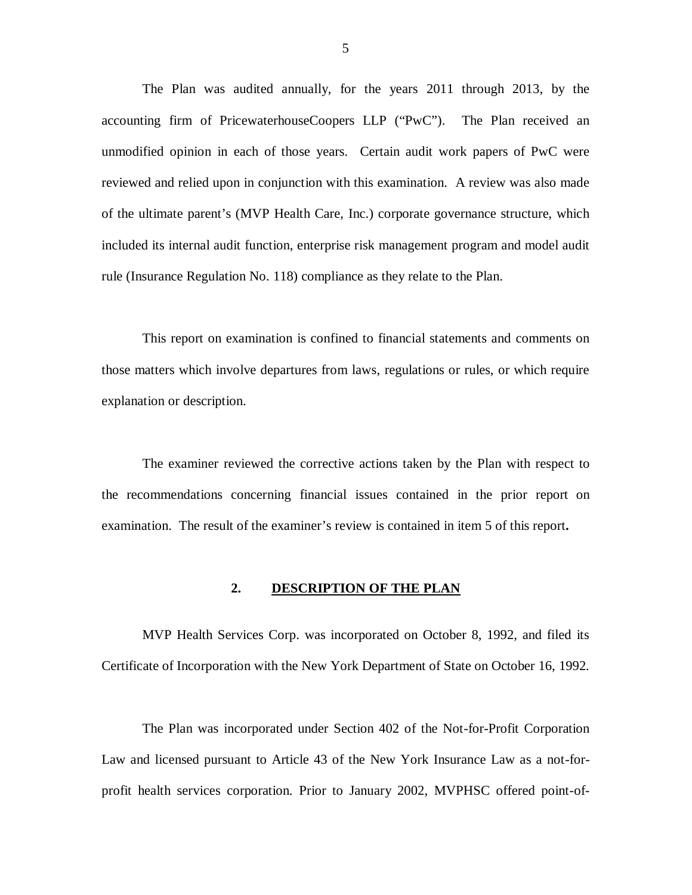<span id="page-7-0"></span> The Plan was audited annually, for the years 2011 through 2013, by the accounting firm of PricewaterhouseCoopers LLP ("PwC"). The Plan received an unmodified opinion in each of those years. Certain audit work papers of PwC were reviewed and relied upon in conjunction with this examination. A review was also made of the ultimate parent's (MVP Health Care, Inc.) corporate governance structure, which included its internal audit function, enterprise risk management program and model audit rule (Insurance Regulation No. 118) compliance as they relate to the Plan.

 This report on examination is confined to financial statements and comments on those matters which involve departures from laws, regulations or rules, or which require explanation or description.

 The examiner reviewed the corrective actions taken by the Plan with respect to the recommendations concerning financial issues contained in the prior report on examination. The result of the examiner's review is contained in item 5 of this report**.** 

#### **2. DESCRIPTION OF THE PLAN**

 MVP Health Services Corp. was incorporated on October 8, 1992, and filed its Certificate of Incorporation with the New York Department of State on October 16, 1992.

 The Plan was incorporated under Section 402 of the Not-for-Profit Corporation Law and licensed pursuant to Article 43 of the New York Insurance Law as a not-for-profit health services corporation. Prior to January 2002, MVPHSC offered point-of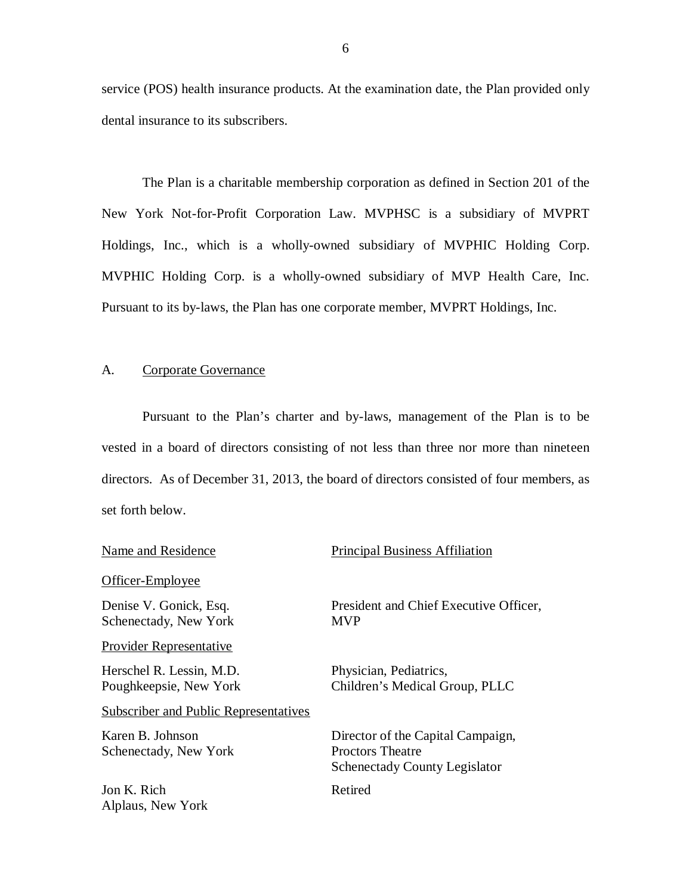service (POS) health insurance products. At the examination date, the Plan provided only dental insurance to its subscribers.

 The Plan is a charitable membership corporation as defined in Section 201 of the New York Not-for-Profit Corporation Law. MVPHSC is a subsidiary of MVPRT Holdings, Inc., which is a wholly-owned subsidiary of MVPHIC Holding Corp. MVPHIC Holding Corp. is a wholly-owned subsidiary of MVP Health Care, Inc. Pursuant to its by-laws, the Plan has one corporate member, MVPRT Holdings, Inc.

#### A. Corporate Governance

 Pursuant to the Plan's charter and by-laws, management of the Plan is to be vested in a board of directors consisting of not less than three nor more than nineteen directors. As of December 31, 2013, the board of directors consisted of four members, as set forth below.

#### Officer-Employee

 Denise V. Gonick, Esq. Schenectady, New York

#### Provider Representative

 Herschel R. Lessin, M.D. Poughkeepsie, New York

#### **Subscriber and Public Representatives**

 Karen B. Johnson Schenectady, New York

 Jon K. Rich Alplaus, New York

### Name and Residence Principal Business Affiliation

 President and Chief Executive Officer, MVP

 Physician, Pediatrics, Children's Medical Group, PLLC

 Director of the Capital Campaign, Proctors Theatre Schenectady County Legislator

#### Retired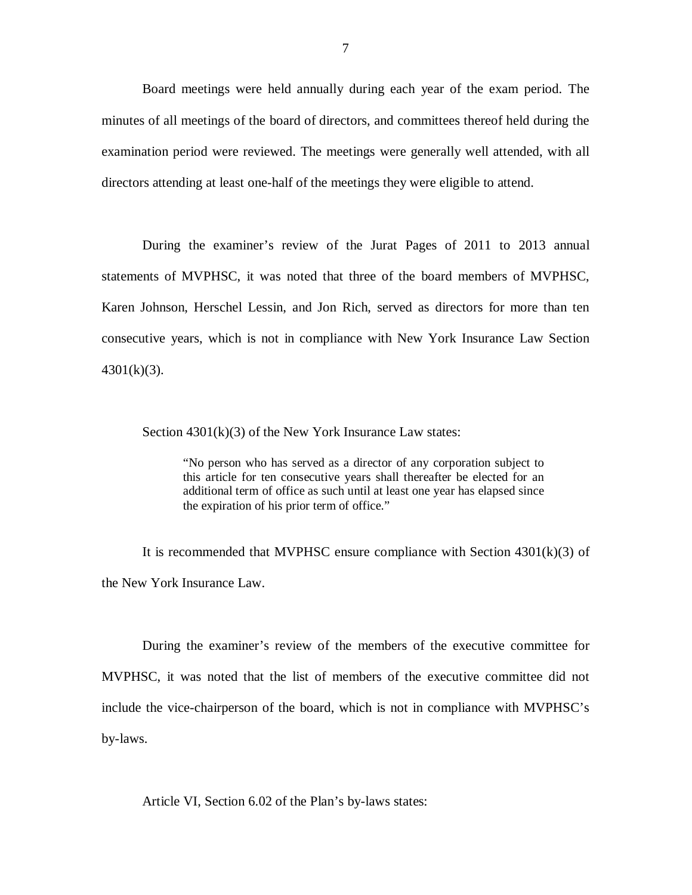Board meetings were held annually during each year of the exam period. The minutes of all meetings of the board of directors, and committees thereof held during the examination period were reviewed. The meetings were generally well attended, with all directors attending at least one-half of the meetings they were eligible to attend.

 During the examiner's review of the Jurat Pages of 2011 to 2013 annual statements of MVPHSC, it was noted that three of the board members of MVPHSC, Karen Johnson, Herschel Lessin, and Jon Rich, served as directors for more than ten consecutive years, which is not in compliance with New York Insurance Law Section  $4301(k)(3)$ . 4301(k)(3).<br>Section 4301(k)(3) of the New York Insurance Law states:

 "No person who has served as a director of any corporation subject to this article for ten consecutive years shall thereafter be elected for an additional term of office as such until at least one year has elapsed since the expiration of his prior term of office."

 It is recommended that MVPHSC ensure compliance with Section 4301(k)(3) of the New York Insurance Law.

 During the examiner's review of the members of the executive committee for MVPHSC, it was noted that the list of members of the executive committee did not include the vice-chairperson of the board, which is not in compliance with MVPHSC's by-laws. by-laws.<br>Article VI, Section 6.02 of the Plan's by-laws states: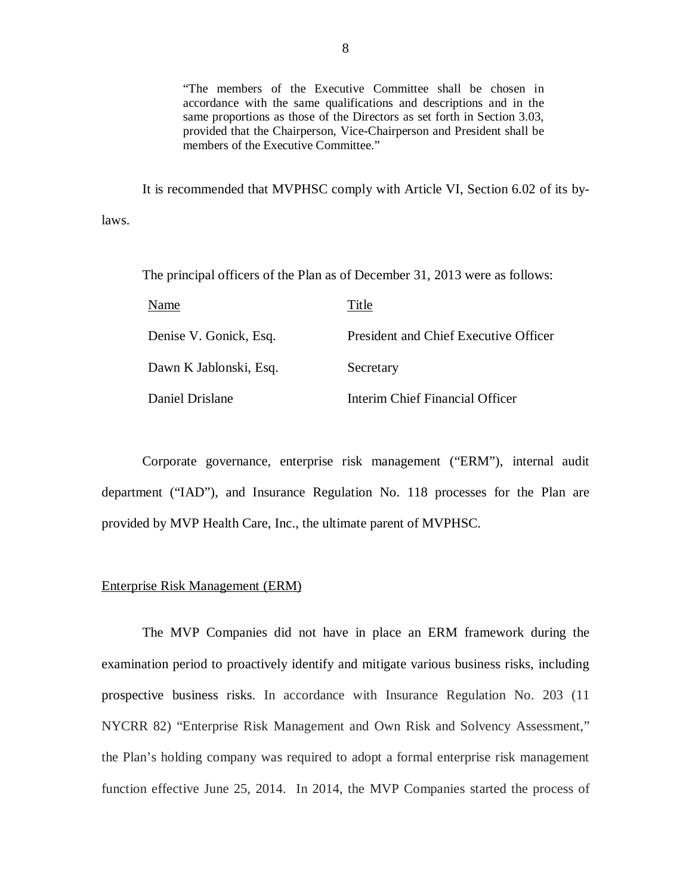"The members of the Executive Committee shall be chosen in accordance with the same qualifications and descriptions and in the same proportions as those of the Directors as set forth in Section 3.03, provided that the Chairperson, Vice-Chairperson and President shall be members of the Executive Committee."

 It is recommended that MVPHSC comply with Article VI, Section 6.02 of its bylaws.

The principal officers of the Plan as of December 31, 2013 were as follows:

| Name                   | Title                                 |
|------------------------|---------------------------------------|
| Denise V. Gonick, Esq. | President and Chief Executive Officer |
| Dawn K Jablonski, Esq. | Secretary                             |
| Daniel Drislane        | Interim Chief Financial Officer       |

 Corporate governance, enterprise risk management ("ERM"), internal audit department ("IAD"), and Insurance Regulation No. 118 processes for the Plan are provided by MVP Health Care, Inc., the ultimate parent of MVPHSC.

#### Enterprise Risk Management (ERM)

 examination period to proactively identify and mitigate various business risks, including prospective business risks. In accordance with Insurance Regulation No. 203 (11 NYCRR 82) "Enterprise Risk Management and Own Risk and Solvency Assessment," the Plan's holding company was required to adopt a formal enterprise risk management function effective June 25, 2014. In 2014, the MVP Companies started the process of The MVP Companies did not have in place an ERM framework during the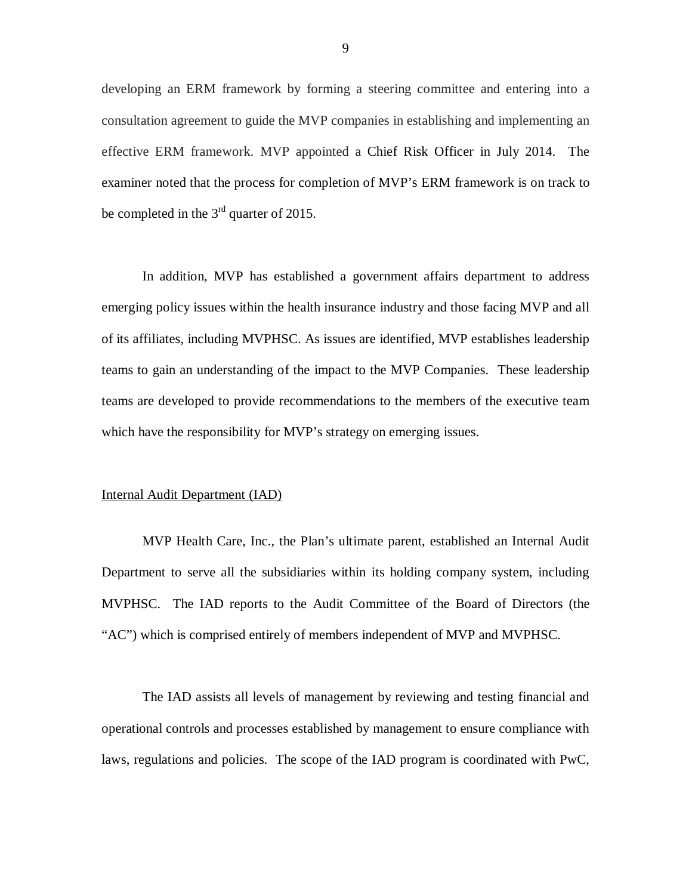developing an ERM framework by forming a steering committee and entering into a consultation agreement to guide the MVP companies in establishing and implementing an effective ERM framework. MVP appointed a Chief Risk Officer in July 2014. The examiner noted that the process for completion of MVP's ERM framework is on track to be completed in the  $3<sup>rd</sup>$  quarter of 2015.

 In addition, MVP has established a government affairs department to address emerging policy issues within the health insurance industry and those facing MVP and all of its affiliates, including MVPHSC. As issues are identified, MVP establishes leadership teams to gain an understanding of the impact to the MVP Companies. These leadership teams are developed to provide recommendations to the members of the executive team which have the responsibility for MVP's strategy on emerging issues.

#### Internal Audit Department (IAD)

 MVP Health Care, Inc., the Plan's ultimate parent, established an Internal Audit Department to serve all the subsidiaries within its holding company system, including MVPHSC. The IAD reports to the Audit Committee of the Board of Directors (the "AC") which is comprised entirely of members independent of MVP and MVPHSC.

 The IAD assists all levels of management by reviewing and testing financial and operational controls and processes established by management to ensure compliance with laws, regulations and policies. The scope of the IAD program is coordinated with PwC,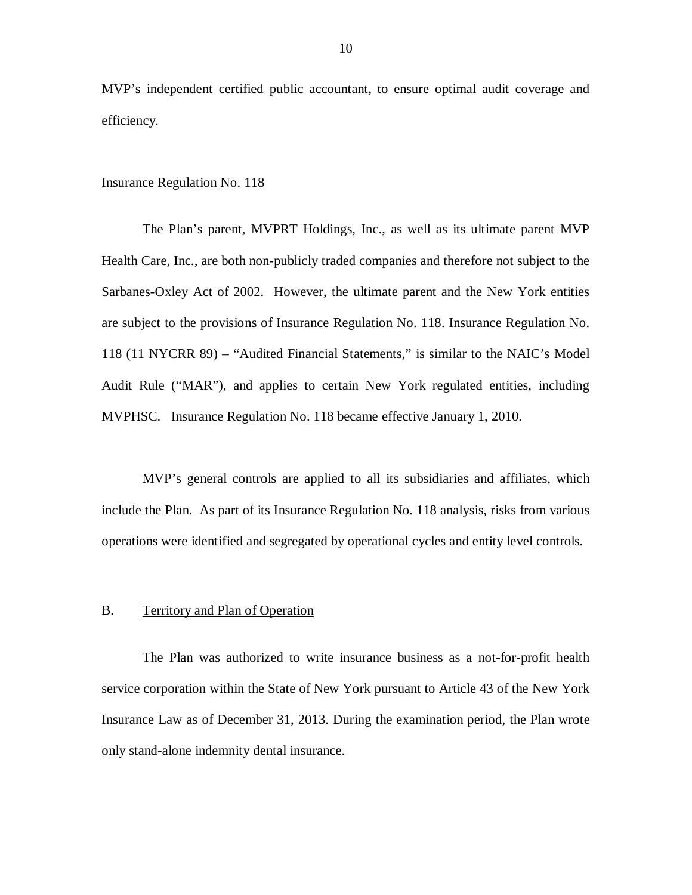<span id="page-12-0"></span> MVP's independent certified public accountant, to ensure optimal audit coverage and efficiency.

#### **Insurance Regulation No. 118**

 The Plan's parent, MVPRT Holdings, Inc., as well as its ultimate parent MVP Health Care, Inc., are both non-publicly traded companies and therefore not subject to the Sarbanes-Oxley Act of 2002. However, the ultimate parent and the New York entities are subject to the provisions of Insurance Regulation No. 118. Insurance Regulation No. 118 (11 NYCRR 89) – "Audited Financial Statements," is similar to the NAIC's Model Audit Rule ("MAR"), and applies to certain New York regulated entities, including MVPHSC. Insurance Regulation No. 118 became effective January 1, 2010.

 MVP's general controls are applied to all its subsidiaries and affiliates, which include the Plan. As part of its Insurance Regulation No. 118 analysis, risks from various operations were identified and segregated by operational cycles and entity level controls.

#### B. Territory and Plan of Operation

 The Plan was authorized to write insurance business as a not-for-profit health service corporation within the State of New York pursuant to Article 43 of the New York Insurance Law as of December 31, 2013. During the examination period, the Plan wrote only stand-alone indemnity dental insurance.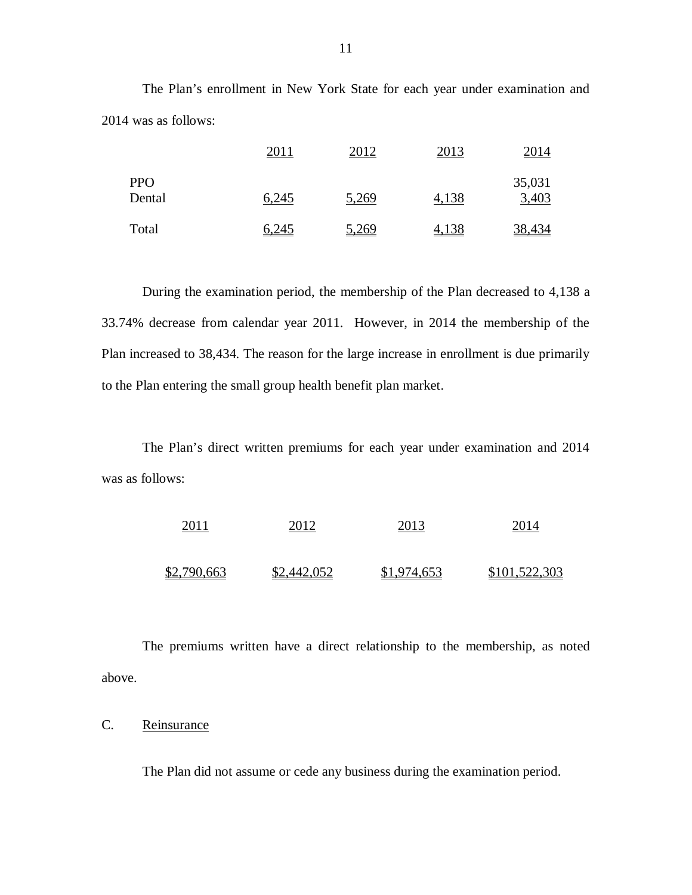The Plan's enrollment in New York State for each year under examination and 2014 was as follows:

|                      | 2011         | 2012         | 2013  | 2014            |
|----------------------|--------------|--------------|-------|-----------------|
| <b>PPO</b><br>Dental | 6,245        | 5,269        | 4,138 | 35,031<br>3,403 |
| Total                | <u>6,245</u> | <u>5,269</u> | 4,138 | 38,434          |

 During the examination period, the membership of the Plan decreased to 4,138 a 33.74% decrease from calendar year 2011. However, in 2014 the membership of the Plan increased to 38,434. The reason for the large increase in enrollment is due primarily to the Plan entering the small group health benefit plan market.

 The Plan's direct written premiums for each year under examination and 2014 was as follows:



 The premiums written have a direct relationship to the membership, as noted above.

# Reinsurance

C. Reinsurance<br>The Plan did not assume or cede any business during the examination period.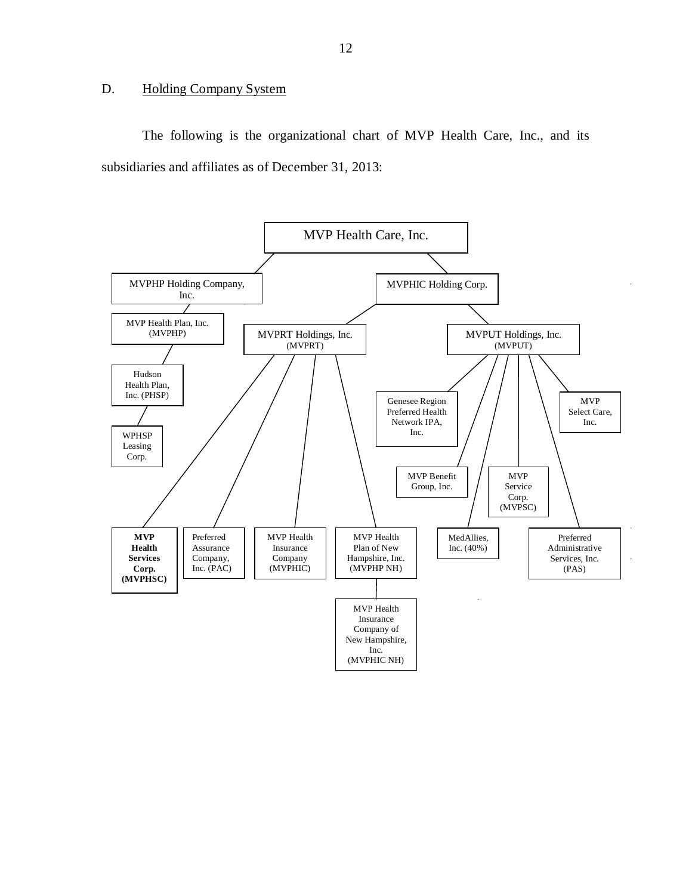#### <span id="page-14-0"></span>D. Holding Company System

The following is the organizational chart of MVP Health Care, Inc., and its subsidiaries and affiliates as of December 31, 2013:

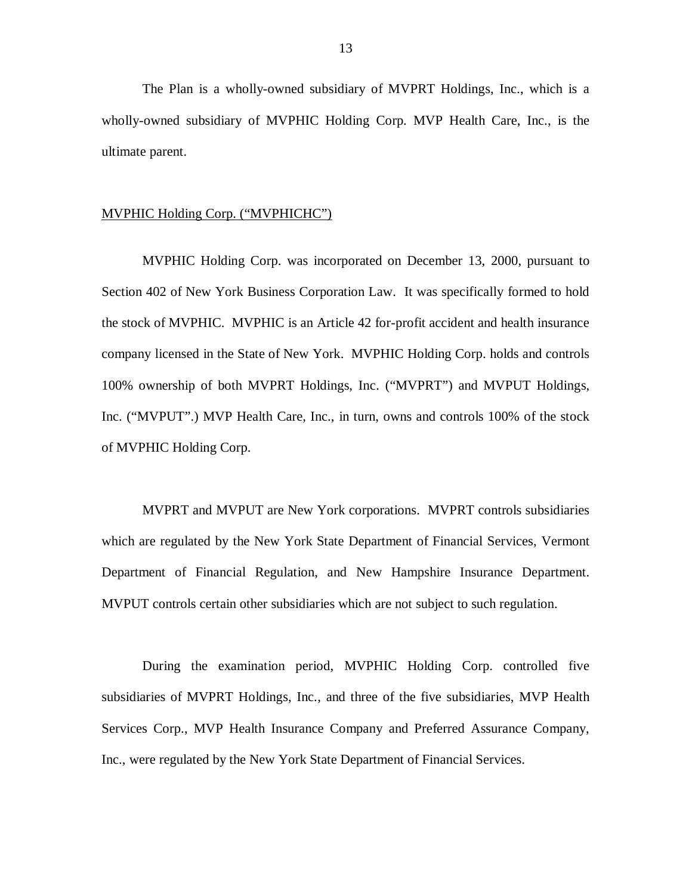The Plan is a wholly-owned subsidiary of MVPRT Holdings, Inc., which is a wholly-owned subsidiary of MVPHIC Holding Corp. MVP Health Care, Inc., is the ultimate parent.

# MVPHIC Holding Corp. ("MVPHICHC")

 MVPHIC Holding Corp. was incorporated on December 13, 2000, pursuant to Section 402 of New York Business Corporation Law. It was specifically formed to hold the stock of MVPHIC. MVPHIC is an Article 42 for-profit accident and health insurance company licensed in the State of New York. MVPHIC Holding Corp. holds and controls 100% ownership of both MVPRT Holdings, Inc. ("MVPRT") and MVPUT Holdings, Inc. ("MVPUT".) MVP Health Care, Inc., in turn, owns and controls 100% of the stock of MVPHIC Holding Corp.

 MVPRT and MVPUT are New York corporations. MVPRT controls subsidiaries which are regulated by the New York State Department of Financial Services, Vermont Department of Financial Regulation, and New Hampshire Insurance Department. MVPUT controls certain other subsidiaries which are not subject to such regulation.

 During the examination period, MVPHIC Holding Corp. controlled five subsidiaries of MVPRT Holdings, Inc., and three of the five subsidiaries, MVP Health Services Corp., MVP Health Insurance Company and Preferred Assurance Company, Inc., were regulated by the New York State Department of Financial Services.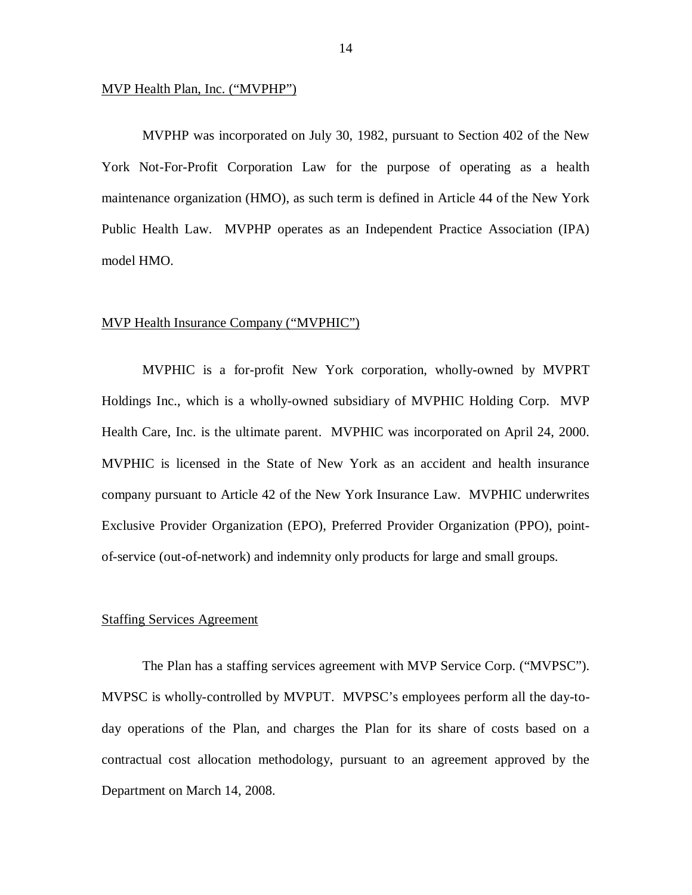#### MVP Health Plan, Inc. ("MVPHP")

 MVPHP was incorporated on July 30, 1982, pursuant to Section 402 of the New York Not-For-Profit Corporation Law for the purpose of operating as a health maintenance organization (HMO), as such term is defined in Article 44 of the New York Public Health Law. MVPHP operates as an Independent Practice Association (IPA) model HMO.

#### MVP Health Insurance Company ("MVPHIC")

 MVPHIC is a for-profit New York corporation, wholly-owned by MVPRT Holdings Inc., which is a wholly-owned subsidiary of MVPHIC Holding Corp. MVP Health Care, Inc. is the ultimate parent. MVPHIC was incorporated on April 24, 2000. MVPHIC is licensed in the State of New York as an accident and health insurance company pursuant to Article 42 of the New York Insurance Law. MVPHIC underwrites Exclusive Provider Organization (EPO), Preferred Provider Organization (PPO), point-of-service (out-of-network) and indemnity only products for large and small groups.

#### **Staffing Services Agreement**

 The Plan has a staffing services agreement with MVP Service Corp. ("MVPSC"). MVPSC is wholly-controlled by MVPUT. MVPSC's employees perform all the day-to- day operations of the Plan, and charges the Plan for its share of costs based on a contractual cost allocation methodology, pursuant to an agreement approved by the Department on March 14, 2008.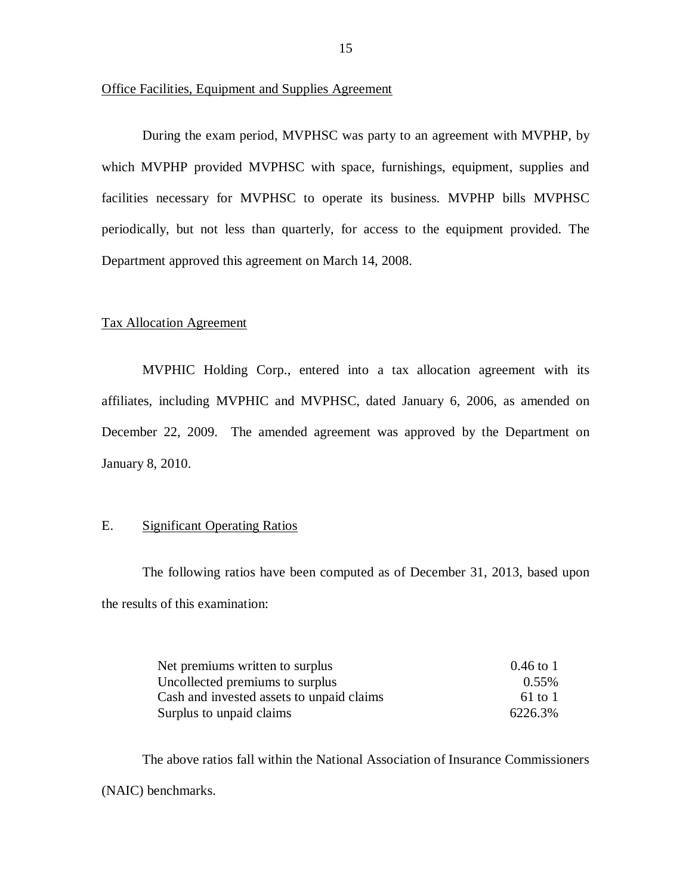#### <span id="page-17-0"></span>Office Facilities, Equipment and Supplies Agreement

 During the exam period, MVPHSC was party to an agreement with MVPHP, by which MVPHP provided MVPHSC with space, furnishings, equipment, supplies and facilities necessary for MVPHSC to operate its business. MVPHP bills MVPHSC periodically, but not less than quarterly, for access to the equipment provided. The Department approved this agreement on March 14, 2008.

#### Tax Allocation Agreement

 MVPHIC Holding Corp., entered into a tax allocation agreement with its affiliates, including MVPHIC and MVPHSC, dated January 6, 2006, as amended on December 22, 2009. The amended agreement was approved by the Department on January 8, 2010.

#### E. Significant Operating Ratios

 The following ratios have been computed as of December 31, 2013, based upon the results of this examination:

| Net premiums written to surplus           | $0.46 \text{ to } 1$ |
|-------------------------------------------|----------------------|
| Uncollected premiums to surplus           | $0.55\%$             |
| Cash and invested assets to unpaid claims | $61$ to 1            |
| Surplus to unpaid claims                  | 6226.3%              |

 The above ratios fall within the National Association of Insurance Commissioners (NAIC) benchmarks.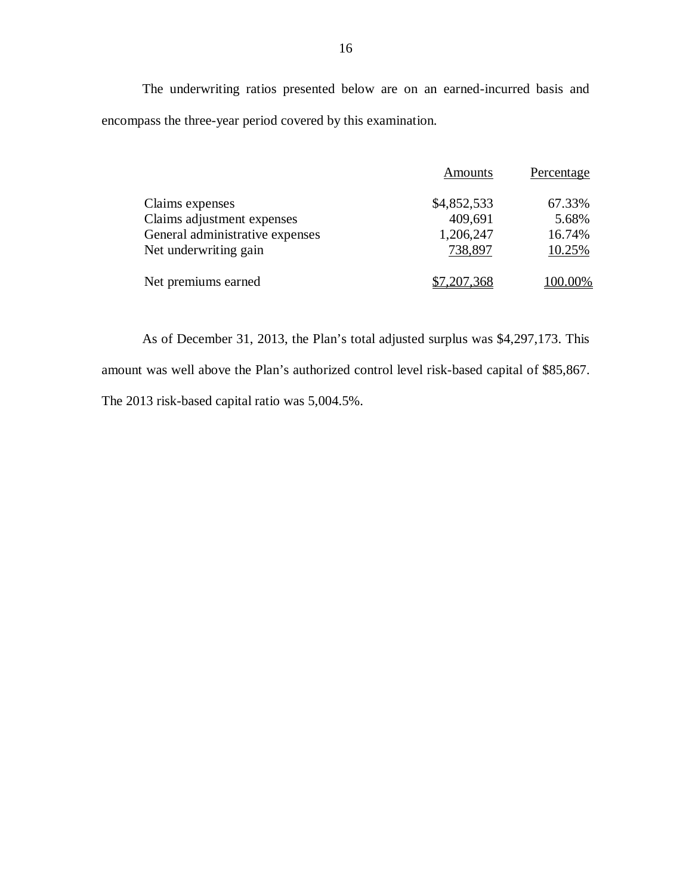The underwriting ratios presented below are on an earned-incurred basis and encompass the three-year period covered by this examination.

|                                 | Amounts     | Percentage |
|---------------------------------|-------------|------------|
| Claims expenses                 | \$4,852,533 | 67.33%     |
| Claims adjustment expenses      | 409,691     | 5.68%      |
| General administrative expenses | 1,206,247   | 16.74%     |
| Net underwriting gain           | 738,897     | 10.25%     |
| Net premiums earned             | \$7,207,368 | 100.00%    |

 As of December 31, 2013, the Plan's total adjusted surplus was \$4,297,173. This amount was well above the Plan's authorized control level risk-based capital of \$85,867. The 2013 risk-based capital ratio was 5,004.5%.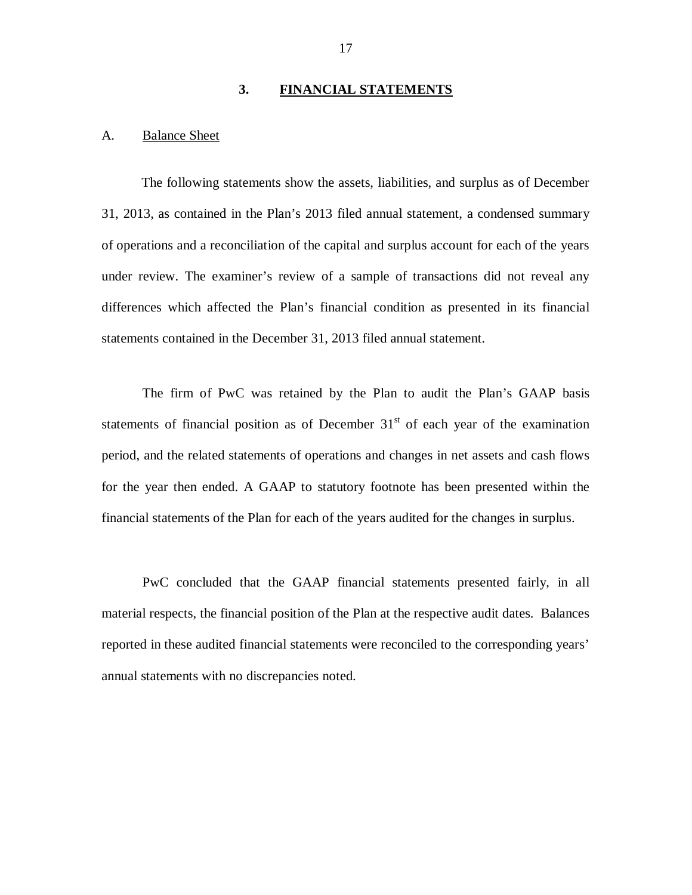#### **3. FINANCIAL STATEMENTS**

#### <span id="page-19-0"></span>A. Balance Sheet

 The following statements show the assets, liabilities, and surplus as of December 31, 2013, as contained in the Plan's 2013 filed annual statement, a condensed summary of operations and a reconciliation of the capital and surplus account for each of the years under review. The examiner's review of a sample of transactions did not reveal any differences which affected the Plan's financial condition as presented in its financial statements contained in the December 31, 2013 filed annual statement.

 The firm of PwC was retained by the Plan to audit the Plan's GAAP basis statements of financial position as of December  $31<sup>st</sup>$  of each year of the examination period, and the related statements of operations and changes in net assets and cash flows for the year then ended. A GAAP to statutory footnote has been presented within the financial statements of the Plan for each of the years audited for the changes in surplus.

 PwC concluded that the GAAP financial statements presented fairly, in all material respects, the financial position of the Plan at the respective audit dates. Balances reported in these audited financial statements were reconciled to the corresponding years' annual statements with no discrepancies noted.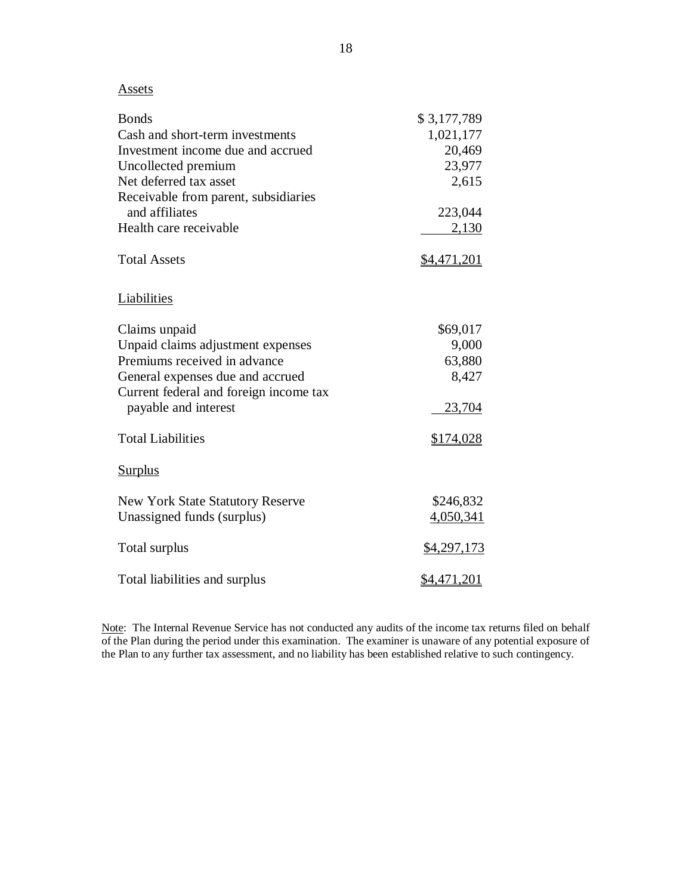**Assets** 

| <b>Bonds</b>                            | \$3,177,789        |
|-----------------------------------------|--------------------|
| Cash and short-term investments         | 1,021,177          |
| Investment income due and accrued       | 20,469             |
| Uncollected premium                     | 23,977             |
| Net deferred tax asset                  | 2,615              |
| Receivable from parent, subsidiaries    |                    |
| and affiliates                          | 223,044            |
| Health care receivable                  | 2,130              |
| <b>Total Assets</b>                     | <u>\$4,471,201</u> |
| Liabilities                             |                    |
| Claims unpaid                           | \$69,017           |
| Unpaid claims adjustment expenses       | 9,000              |
| Premiums received in advance            | 63,880             |
| General expenses due and accrued        | 8,427              |
| Current federal and foreign income tax  |                    |
| payable and interest                    | 23,704             |
| <b>Total Liabilities</b>                | \$174,028          |
| <b>Surplus</b>                          |                    |
| <b>New York State Statutory Reserve</b> | \$246,832          |
| Unassigned funds (surplus)              | 4,050,341          |
| Total surplus                           | \$4,297,173        |
| Total liabilities and surplus           | \$4,471,201        |

Note: The Internal Revenue Service has not conducted any audits of the income tax returns filed on behalf of the Plan during the period under this examination. The examiner is unaware of any potential exposure of the Plan to any further tax assessment, and no liability has been established relative to such contingency.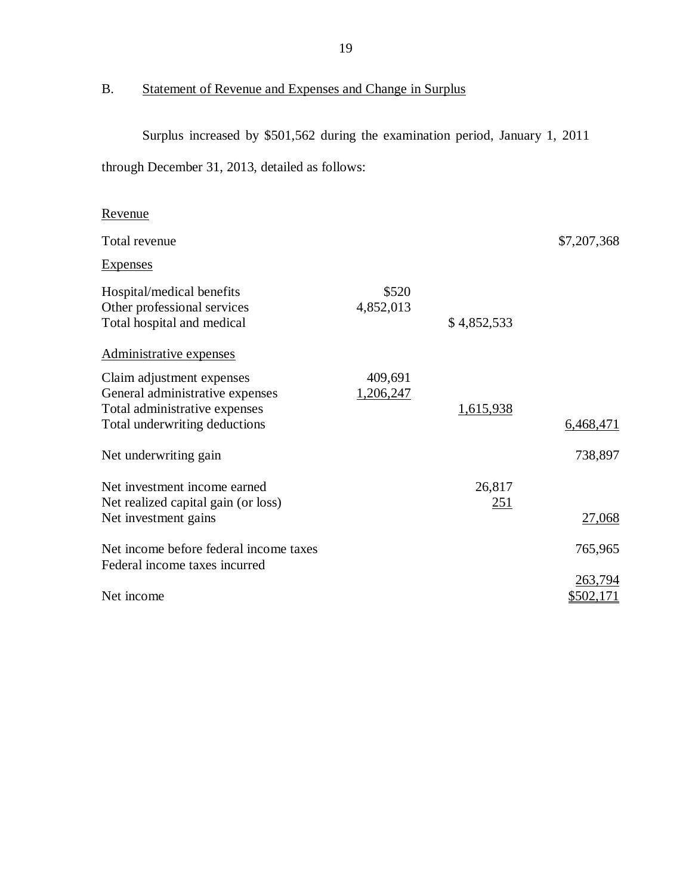### B. Statement of Revenue and Expenses and Change in Surplus

 Surplus increased by \$501,562 during the examination period, January 1, 2011 through December 31, 2013, detailed as follows:

| <u>Revenue</u>                                                                                                                 |                      |               |                      |
|--------------------------------------------------------------------------------------------------------------------------------|----------------------|---------------|----------------------|
| Total revenue                                                                                                                  |                      |               | \$7,207,368          |
| <b>Expenses</b>                                                                                                                |                      |               |                      |
| Hospital/medical benefits<br>Other professional services<br>Total hospital and medical                                         | \$520<br>4,852,013   | \$4,852,533   |                      |
| Administrative expenses                                                                                                        |                      |               |                      |
| Claim adjustment expenses<br>General administrative expenses<br>Total administrative expenses<br>Total underwriting deductions | 409,691<br>1,206,247 | 1,615,938     | 6,468,471            |
| Net underwriting gain                                                                                                          |                      |               | 738,897              |
| Net investment income earned<br>Net realized capital gain (or loss)<br>Net investment gains                                    |                      | 26,817<br>251 | 27,068               |
| Net income before federal income taxes<br>Federal income taxes incurred                                                        |                      |               | 765,965              |
| Net income                                                                                                                     |                      |               | 263,794<br>\$502,171 |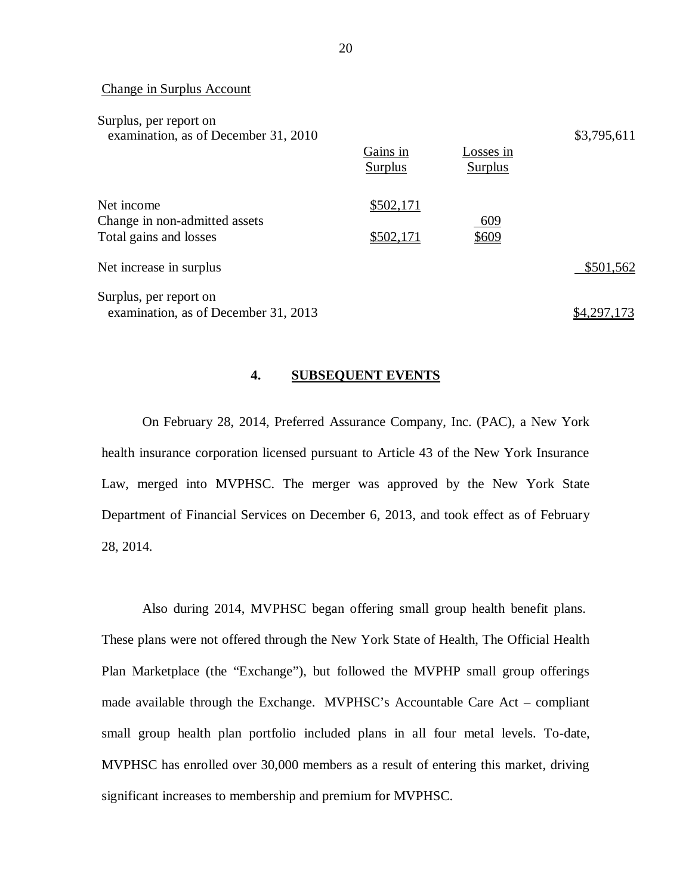|  | Change in Surplus Account |
|--|---------------------------|
|  |                           |

| Surplus, per report on<br>examination, as of December 31, 2010        | Gains in<br>Surplus    | Losses in<br>Surplus | \$3,795,611 |
|-----------------------------------------------------------------------|------------------------|----------------------|-------------|
|                                                                       |                        |                      |             |
| Net income<br>Change in non-admitted assets<br>Total gains and losses | \$502,171<br>\$502,171 | 609<br>\$609         |             |
| Net increase in surplus                                               |                        |                      | \$501,562   |
| Surplus, per report on<br>examination, as of December 31, 2013        |                        |                      | .297.       |

#### **4. SUBSEQUENT EVENTS**

 On February 28, 2014, Preferred Assurance Company, Inc. (PAC), a New York health insurance corporation licensed pursuant to Article 43 of the New York Insurance Law, merged into MVPHSC. The merger was approved by the New York State Department of Financial Services on December 6, 2013, and took effect as of February 28, 2014.

 Also during 2014, MVPHSC began offering small group health benefit plans. These plans were not offered through the New York State of Health, The Official Health Plan Marketplace (the "Exchange"), but followed the MVPHP small group offerings made available through the Exchange. MVPHSC's Accountable Care Act – compliant small group health plan portfolio included plans in all four metal levels. To-date, MVPHSC has enrolled over 30,000 members as a result of entering this market, driving significant increases to membership and premium for MVPHSC.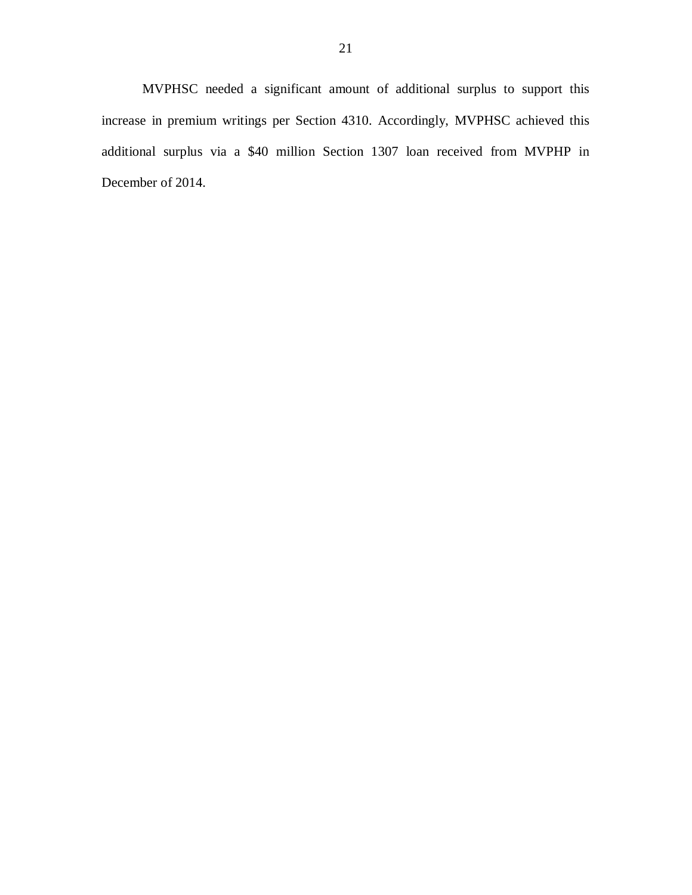MVPHSC needed a significant amount of additional surplus to support this increase in premium writings per Section 4310. Accordingly, MVPHSC achieved this additional surplus via a \$40 million Section 1307 loan received from MVPHP in December of 2014.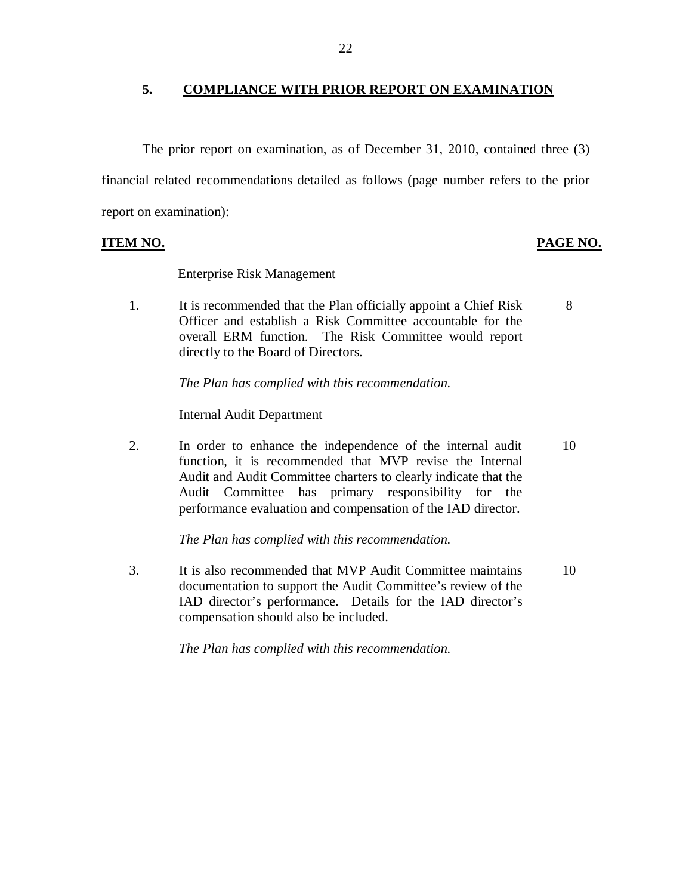# **5. COMPLIANCE WITH PRIOR REPORT ON EXAMINATION**

 financial related recommendations detailed as follows (page number refers to the prior report on examination): The prior report on examination, as of December 31, 2010, contained three (3)

# **ITEM NO. PAGE NO.**

#### Enterprise Risk Management

 $1<sup>1</sup>$  Officer and establish a Risk Committee accountable for the overall ERM function. The Risk Committee would report directly to the Board of Directors. It is recommended that the Plan officially appoint a Chief Risk 8

 *The Plan has complied with this recommendation.* 

# Internal Audit Department

2. function, it is recommended that MVP revise the Internal Audit and Audit Committee charters to clearly indicate that the Audit Committee has primary responsibility for the performance evaluation and compensation of the IAD director. In order to enhance the independence of the internal audit 10

 *The Plan has complied with this recommendation.* 

 $\mathcal{F}_{\mathcal{F}}$  documentation to support the Audit Committee's review of the IAD director's performance. Details for the IAD director's compensation should also be included. It is also recommended that MVP Audit Committee maintains 10

 *The Plan has complied with this recommendation.*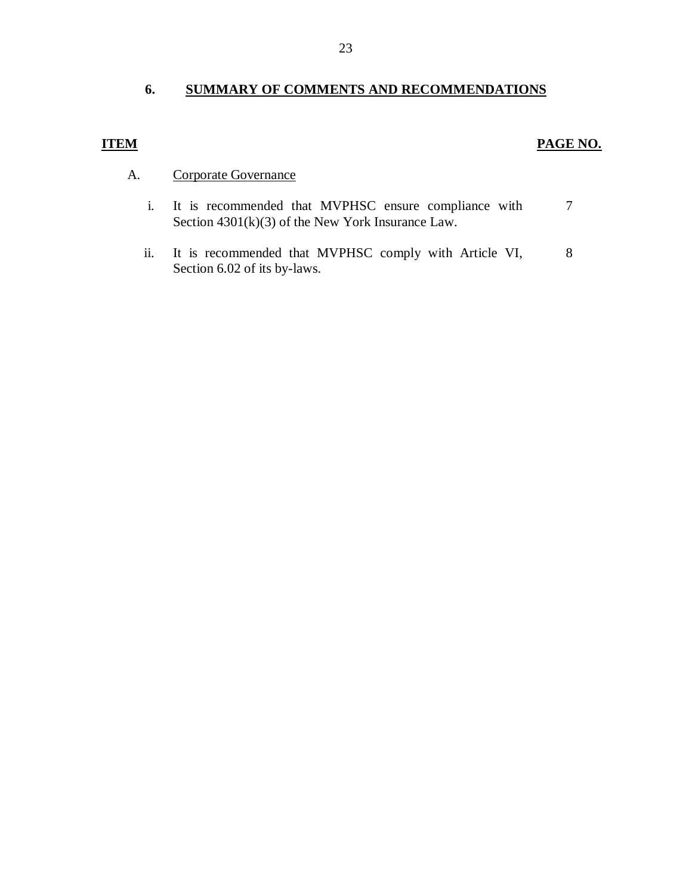# **6. SUMMARY OF COMMENTS AND RECOMMENDATIONS**

# **ITEM**

## **PAGE NO.**

- A. Corporate Governance
	- Section 4301(k)(3) of the New York Insurance Law. i. It is recommended that MVPHSC ensure compliance with 7
	- Section 6.02 of its by-laws. ii. It is recommended that MVPHSC comply with Article VI, 8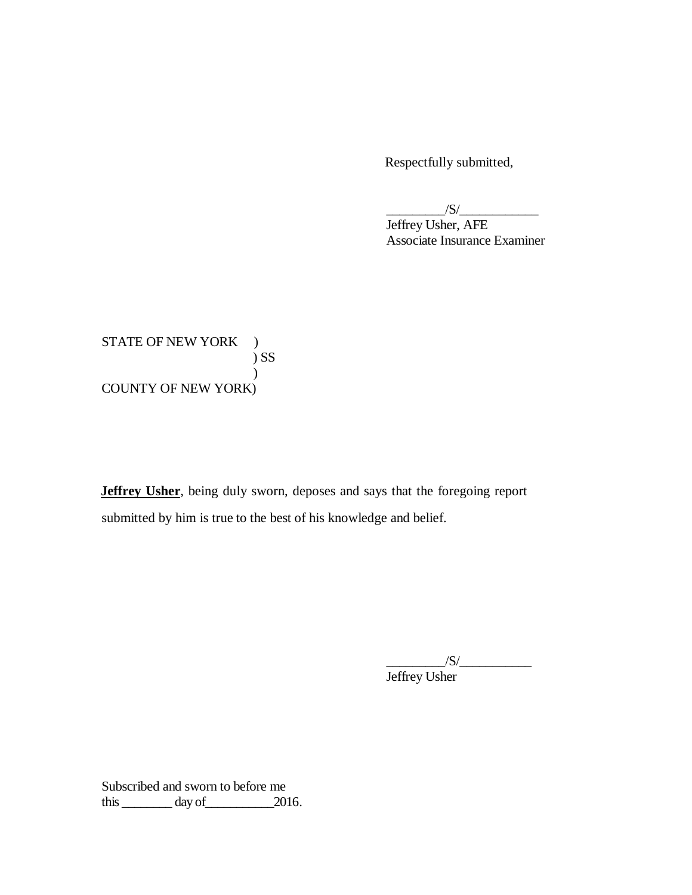Respectfully submitted,

 $\frac{1}{\sqrt{S}}$ 

 Jeffrey Usher, AFE Associate Insurance Examiner

STATE OF NEW YORK ) COUNTY OF NEW YORK) ) SS  $\overline{)}$ 

 **Jeffrey Usher**, being duly sworn, deposes and says that the foregoing report submitted by him is true to the best of his knowledge and belief.

> $/S/\sim$ Jeffrey Usher

 Subscribed and sworn to before me this  $\_\_\_\_\_\_\$  day of  $\_\_\_\_\_\$  2016.